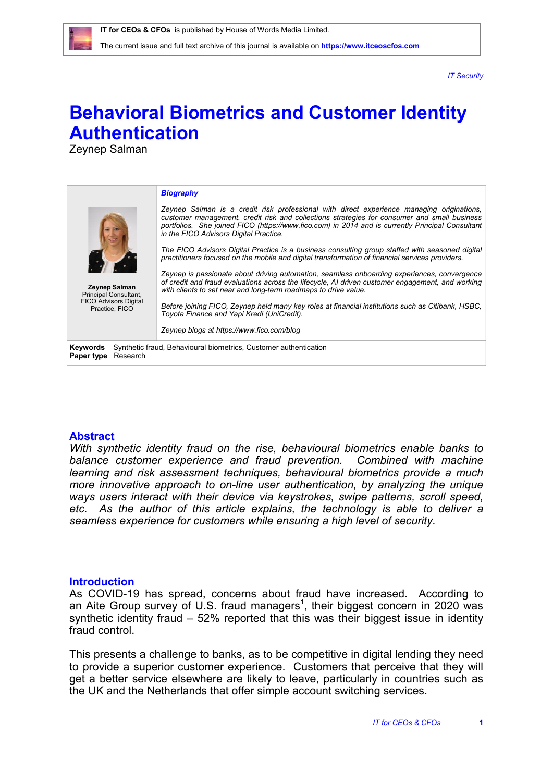*IT Security*

# **Behavioral Biometrics and Customer Identity Authentication**

Zeynep Salman

| Zeynep Salman<br>Principal Consultant,<br><b>FICO Advisors Digital</b><br>Practice, FICO               | <b>Biography</b><br>Zeynep Salman is a credit risk professional with direct experience managing originations,<br>customer management, credit risk and collections strategies for consumer and small business<br>portfolios. She joined FICO (https://www.fico.com) in 2014 and is currently Principal Consultant<br>in the FICO Advisors Digital Practice.<br>The FICO Advisors Digital Practice is a business consulting group staffed with seasoned digital<br>practitioners focused on the mobile and digital transformation of financial services providers.<br>Zeynep is passionate about driving automation, seamless onboarding experiences, convergence<br>of credit and fraud evaluations across the lifecycle, AI driven customer engagement, and working<br>with clients to set near and long-term roadmaps to drive value.<br>Before joining FICO, Zeynep held many key roles at financial institutions such as Citibank, HSBC,<br>Toyota Finance and Yapi Kredi (UniCredit).<br>Zeynep blogs at https://www.fico.com/blog |
|--------------------------------------------------------------------------------------------------------|----------------------------------------------------------------------------------------------------------------------------------------------------------------------------------------------------------------------------------------------------------------------------------------------------------------------------------------------------------------------------------------------------------------------------------------------------------------------------------------------------------------------------------------------------------------------------------------------------------------------------------------------------------------------------------------------------------------------------------------------------------------------------------------------------------------------------------------------------------------------------------------------------------------------------------------------------------------------------------------------------------------------------------------|
| Synthetic fraud, Behavioural biometrics, Customer authentication<br>Keywords<br>Research<br>Paper type |                                                                                                                                                                                                                                                                                                                                                                                                                                                                                                                                                                                                                                                                                                                                                                                                                                                                                                                                                                                                                                        |

### **Abstract**

*With synthetic identity fraud on the rise, behavioural biometrics enable banks to balance customer experience and fraud prevention. Combined with machine learning and risk assessment techniques, behavioural biometrics provide a much more innovative approach to on-line user authentication, by analyzing the unique ways users interact with their device via keystrokes, swipe patterns, scroll speed, etc. As the author of this article explains, the technology is able to deliver a seamless experience for customers while ensuring a high level of security.*

#### **Introduction**

As COVID-19 has spread, concerns about fraud have increased. According to an Aite Group survey of U.S. fraud managers<sup>1</sup>, their biggest concern in 2020 was synthetic identity fraud – 52% reported that this was their biggest issue in identity fraud control.

This presents a challenge to banks, as to be competitive in digital lending they need to provide a superior customer experience. Customers that perceive that they will get a better service elsewhere are likely to leave, particularly in countries such as the UK and the Netherlands that offer simple account switching services.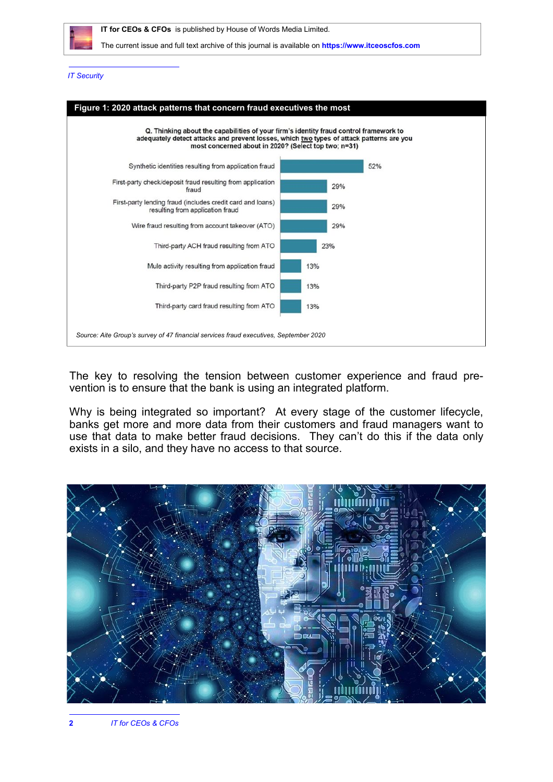

#### *IT Security*



The key to resolving the tension between customer experience and fraud prevention is to ensure that the bank is using an integrated platform.

Why is being integrated so important? At every stage of the customer lifecycle, banks get more and more data from their customers and fraud managers want to use that data to make better fraud decisions. They can't do this if the data only exists in a silo, and they have no access to that source.

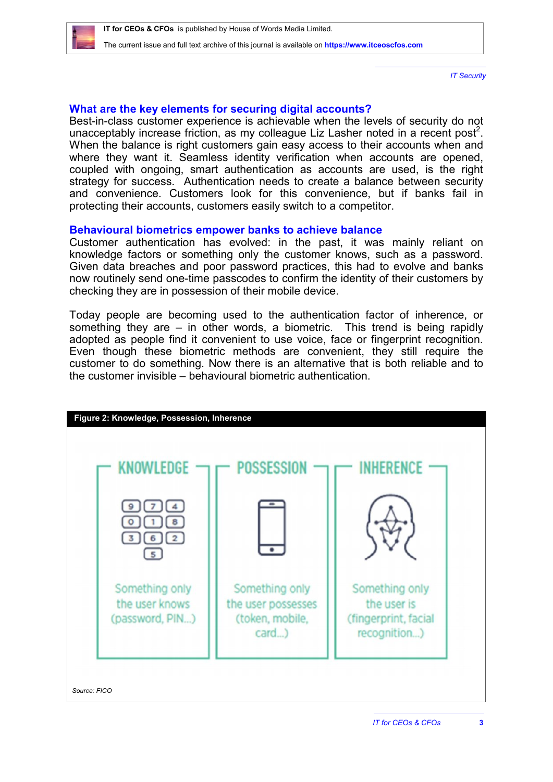

*IT Security*

# **What are the key elements for securing digital accounts?**

Best-in-class customer experience is achievable when the levels of security do not unacceptably increase friction, as my colleague Liz Lasher noted in a recent post<sup>2</sup>. When the balance is right customers gain easy access to their accounts when and where they want it. Seamless identity verification when accounts are opened, coupled with ongoing, smart authentication as accounts are used, is the right strategy for success. Authentication needs to create a balance between security and convenience. Customers look for this convenience, but if banks fail in protecting their accounts, customers easily switch to a competitor.

## **Behavioural biometrics empower banks to achieve balance**

Customer authentication has evolved: in the past, it was mainly reliant on knowledge factors or something only the customer knows, such as a password. Given data breaches and poor password practices, this had to evolve and banks now routinely send one-time passcodes to confirm the identity of their customers by checking they are in possession of their mobile device.

Today people are becoming used to the authentication factor of inherence, or something they are  $-$  in other words, a biometric. This trend is being rapidly adopted as people find it convenient to use voice, face or fingerprint recognition. Even though these biometric methods are convenient, they still require the customer to do something. Now there is an alternative that is both reliable and to the customer invisible – behavioural biometric authentication.